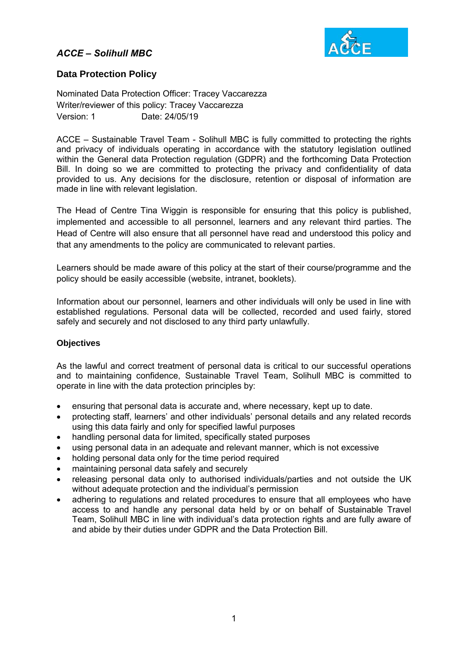## *ACCE – Solihull MBC*



### **Data Protection Policy**

Nominated Data Protection Officer: Tracey Vaccarezza Writer/reviewer of this policy: Tracey Vaccarezza Version: 1 Date: 24/05/19

ACCE – Sustainable Travel Team - Solihull MBC is fully committed to protecting the rights and privacy of individuals operating in accordance with the statutory legislation outlined within the General data Protection regulation (GDPR) and the forthcoming Data Protection Bill. In doing so we are committed to protecting the privacy and confidentiality of data provided to us. Any decisions for the disclosure, retention or disposal of information are made in line with relevant legislation.

The Head of Centre Tina Wiggin is responsible for ensuring that this policy is published, implemented and accessible to all personnel, learners and any relevant third parties. The Head of Centre will also ensure that all personnel have read and understood this policy and that any amendments to the policy are communicated to relevant parties.

Learners should be made aware of this policy at the start of their course/programme and the policy should be easily accessible (website, intranet, booklets).

Information about our personnel, learners and other individuals will only be used in line with established regulations. Personal data will be collected, recorded and used fairly, stored safely and securely and not disclosed to any third party unlawfully.

#### **Objectives**

As the lawful and correct treatment of personal data is critical to our successful operations and to maintaining confidence, Sustainable Travel Team, Solihull MBC is committed to operate in line with the data protection principles by:

- ensuring that personal data is accurate and, where necessary, kept up to date.
- protecting staff, learners' and other individuals' personal details and any related records using this data fairly and only for specified lawful purposes
- handling personal data for limited, specifically stated purposes
- using personal data in an adequate and relevant manner, which is not excessive
- holding personal data only for the time period required
- maintaining personal data safely and securely
- releasing personal data only to authorised individuals/parties and not outside the UK without adequate protection and the individual's permission
- adhering to regulations and related procedures to ensure that all employees who have access to and handle any personal data held by or on behalf of Sustainable Travel Team, Solihull MBC in line with individual's data protection rights and are fully aware of and abide by their duties under GDPR and the Data Protection Bill.